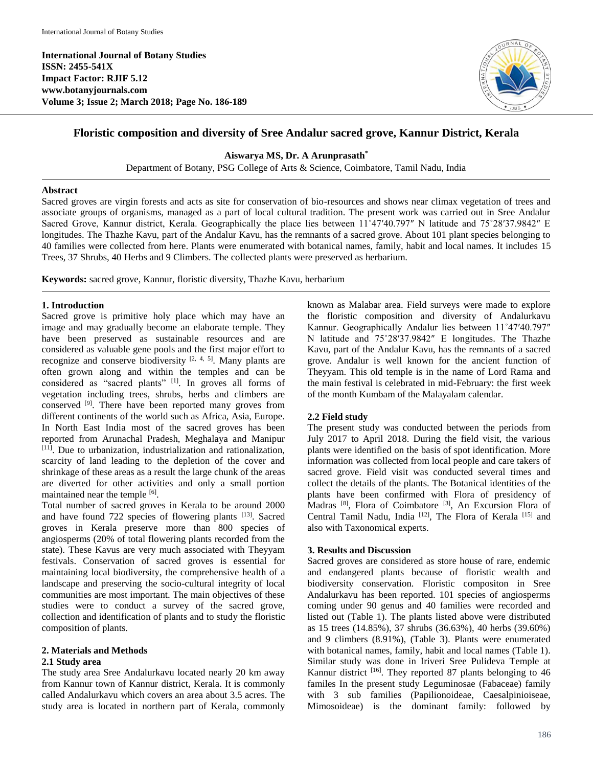**International Journal of Botany Studies ISSN: 2455-541X Impact Factor: RJIF 5.12 www.botanyjournals.com Volume 3; Issue 2; March 2018; Page No. 186-189** 



# **Floristic composition and diversity of Sree Andalur sacred grove, Kannur District, Kerala**

**Aiswarya MS, Dr. A Arunprasath\***

Department of Botany, PSG College of Arts & Science, Coimbatore, Tamil Nadu, India

### **Abstract**

Sacred groves are virgin forests and acts as site for conservation of bio-resources and shows near climax vegetation of trees and associate groups of organisms, managed as a part of local cultural tradition. The present work was carried out in Sree Andalur Sacred Grove, Kannur district, Kerala. Geographically the place lies between  $11^{\circ}47'40.797''$  N latitude and  $75^{\circ}28'37.9842''$  E longitudes. The Thazhe Kavu, part of the Andalur Kavu, has the remnants of a sacred grove. About 101 plant species belonging to 40 families were collected from here. Plants were enumerated with botanical names, family, habit and local names. It includes 15 Trees, 37 Shrubs, 40 Herbs and 9 Climbers. The collected plants were preserved as herbarium.

**Keywords:** sacred grove, Kannur, floristic diversity, Thazhe Kavu, herbarium

#### **1. Introduction**

Sacred grove is primitive holy place which may have an image and may gradually become an elaborate temple. They have been preserved as sustainable resources and are considered as valuable gene pools and the first major effort to recognize and conserve biodiversity  $[2, 4, 5]$ . Many plants are often grown along and within the temples and can be considered as "sacred plants" [1]. In groves all forms of vegetation including trees, shrubs, herbs and climbers are conserved  $[9]$ . There have been reported many groves from different continents of the world such as Africa, Asia, Europe. In North East India most of the sacred groves has been reported from Arunachal Pradesh, Meghalaya and Manipur  $[11]$ . Due to urbanization, industrialization and rationalization. scarcity of land leading to the depletion of the cover and shrinkage of these areas as a result the large chunk of the areas are diverted for other activities and only a small portion maintained near the temple [6].

Total number of sacred groves in Kerala to be around 2000 and have found 722 species of flowering plants [13]. Sacred groves in Kerala preserve more than 800 species of angiosperms (20% of total flowering plants recorded from the state). These Kavus are very much associated with Theyyam festivals. Conservation of sacred groves is essential for maintaining local biodiversity, the comprehensive health of a landscape and preserving the socio-cultural integrity of local communities are most important. The main objectives of these studies were to conduct a survey of the sacred grove, collection and identification of plants and to study the floristic composition of plants.

# **2. Materials and Methods**

# **2.1 Study area**

The study area Sree Andalurkavu located nearly 20 km away from Kannur town of Kannur district, Kerala. It is commonly called Andalurkavu which covers an area about 3.5 acres. The study area is located in northern part of Kerala, commonly known as Malabar area. Field surveys were made to explore the floristic composition and diversity of Andalurkavu Kannur. Geographically Andalur lies between 11˚47′40.797″ N latitude and 75˚28′37.9842″ E longitudes. The Thazhe Kavu, part of the Andalur Kavu, has the remnants of a sacred grove. Andalur is well known for the ancient function of Theyyam. This old temple is in the name of Lord Rama and the main festival is celebrated in mid-February: the first week of the month Kumbam of the Malayalam calendar.

# **2.2 Field study**

The present study was conducted between the periods from July 2017 to April 2018. During the field visit, the various plants were identified on the basis of spot identification. More information was collected from local people and care takers of sacred grove. Field visit was conducted several times and collect the details of the plants. The Botanical identities of the plants have been confirmed with Flora of presidency of Madras <sup>[8]</sup>, Flora of Coimbatore <sup>[3]</sup>, An Excursion Flora of Central Tamil Nadu, India <sup>[12]</sup>, The Flora of Kerala <sup>[15]</sup> and also with Taxonomical experts.

# **3. Results and Discussion**

Sacred groves are considered as store house of rare, endemic and endangered plants because of floristic wealth and biodiversity conservation. Floristic compositon in Sree Andalurkavu has been reported. 101 species of angiosperms coming under 90 genus and 40 families were recorded and listed out (Table 1). The plants listed above were distributed as 15 trees (14.85%), 37 shrubs (36.63%), 40 herbs (39.60%) and 9 climbers (8.91%), (Table 3). Plants were enumerated with botanical names, family, habit and local names (Table 1). Similar study was done in Iriveri Sree Pulideva Temple at Kannur district  $[16]$ . They reported 87 plants belonging to 46 familes In the present study Leguminosae (Fabaceae) family with 3 sub families (Papilionoideae, Caesalpinioiseae, Mimosoideae) is the dominant family: followed by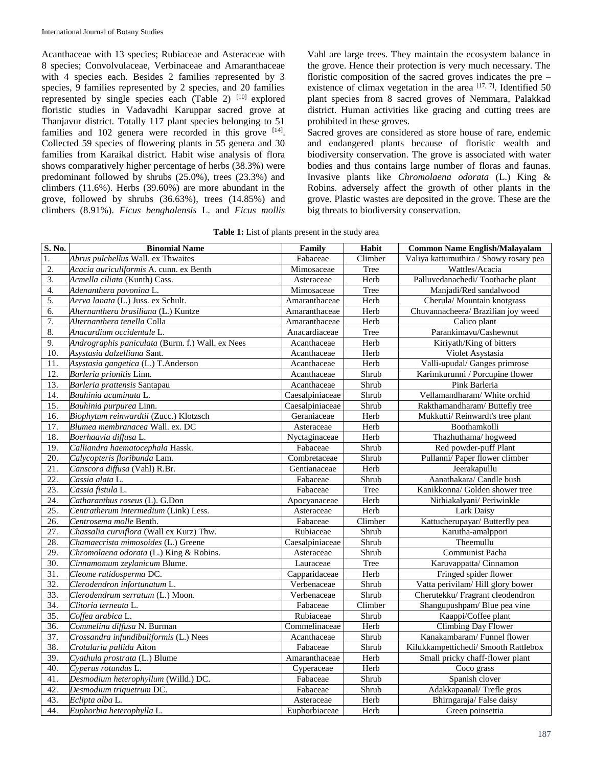Acanthaceae with 13 species; Rubiaceae and Asteraceae with 8 species; Convolvulaceae, Verbinaceae and Amaranthaceae with 4 species each. Besides 2 families represented by 3 species, 9 families represented by 2 species, and 20 families represented by single species each (Table 2)  $[10]$  explored floristic studies in Vadavadhi Karuppar sacred grove at Thanjavur district. Totally 117 plant species belonging to 51 families and  $102$  genera were recorded in this grove  $[14]$ . Collected 59 species of flowering plants in 55 genera and 30 families from Karaikal district. Habit wise analysis of flora shows comparatively higher percentage of herbs (38.3%) were predominant followed by shrubs (25.0%), trees (23.3%) and climbers (11.6%). Herbs (39.60%) are more abundant in the grove, followed by shrubs (36.63%), trees (14.85%) and climbers (8.91%). *Ficus benghalensis* L. and *Ficus mollis* 

Vahl are large trees. They maintain the ecosystem balance in the grove. Hence their protection is very much necessary. The floristic composition of the sacred groves indicates the pre – existence of climax vegetation in the area  $[17, 7]$ . Identified 50 plant species from 8 sacred groves of Nemmara, Palakkad district. Human activities like gracing and cutting trees are prohibited in these groves.

Sacred groves are considered as store house of rare, endemic and endangered plants because of floristic wealth and biodiversity conservation. The grove is associated with water bodies and thus contains large number of floras and faunas. Invasive plants like *Chromolaena odorata* (L.) King & Robins. adversely affect the growth of other plants in the grove. Plastic wastes are deposited in the grove. These are the big threats to biodiversity conservation.

| Table 1: List of plants present in the study area |  |  |
|---------------------------------------------------|--|--|
|---------------------------------------------------|--|--|

| S. No.            | <b>Binomial Name</b>                             | Family          | Habit   | <b>Common Name English/Malayalam</b>   |
|-------------------|--------------------------------------------------|-----------------|---------|----------------------------------------|
| 1.                | Abrus pulchellus Wall. ex Thwaites               | Fabaceae        | Climber | Valiya kattumuthira / Showy rosary pea |
| 2.                | Acacia auriculiformis A. cunn. ex Benth          | Mimosaceae      | Tree    | Wattles/Acacia                         |
| 3.                | Acmella ciliata (Kunth) Cass.                    | Asteraceae      | Herb    | Palluvedanachedi/Toothache plant       |
| 4.                | Adenanthera pavonina L.                          | Mimosaceae      | Tree    | Manjadi/Red sandalwood                 |
| 5.                | Aerva lanata (L.) Juss. ex Schult.               | Amaranthaceae   | Herb    | Cherula/ Mountain knotgrass            |
| 6.                | Alternanthera brasiliana (L.) Kuntze             | Amaranthaceae   | Herb    | Chuvannacheera/ Brazilian joy weed     |
| 7.                | Alternanthera tenella Colla                      | Amaranthaceae   | Herb    | Calico plant                           |
| 8.                | Anacardium occidentale L.                        | Anacardiaceae   | Tree    | Parankimavu/Cashewnut                  |
| 9.                | Andrographis paniculata (Burm. f.) Wall. ex Nees | Acanthaceae     | Herb    | Kiriyath/King of bitters               |
| 10.               | Asystasia dalzelliana Sant.                      | Acanthaceae     | Herb    | Violet Asystasia                       |
| 11.               | Asystasia gangetica (L.) T.Anderson              | Acanthaceae     | Herb    | Valli-upudal/Ganges primrose           |
| 12.               | Barleria prionitis Linn.                         | Acanthaceae     | Shrub   | Karimkurunni / Porcupine flower        |
| $\overline{13}$ . | Barleria prattensis Santapau                     | Acanthaceae     | Shrub   | Pink Barleria                          |
| 14.               | Bauhinia acuminata L.                            | Caesalpiniaceae | Shrub   | Vellamandharam/ White orchid           |
| $\overline{15}$ . | Bauhinia purpurea Linn.                          | Caesalpiniaceae | Shrub   | Rakthamandharam/Buttefly tree          |
| 16.               | Biophytum reinwardtii (Zucc.) Klotzsch           | Geraniaceae     | Herb    | Mukkutti/ Reinwardt's tree plant       |
| $\overline{17}$ . | Blumea membranacea Wall. ex. DC                  | Asteraceae      | Herb    | Boothamkolli                           |
| 18.               | Boerhaavia diffusa L.                            | Nyctaginaceae   | Herb    | Thazhuthama/hogweed                    |
| 19.               | Calliandra haematocephala Hassk.                 | Fabaceae        | Shrub   | Red powder-puff Plant                  |
| 20.               | Calycopteris floribunda Lam.                     | Combretaceae    | Shrub   | Pullanni/ Paper flower climber         |
| 21.               | Canscora diffusa (Vahl) R.Br.                    | Gentianaceae    | Herb    | Jeerakapullu                           |
| 22.               | Cassia alata L.                                  | Fabaceae        | Shrub   | Aanathakara/ Candle bush               |
| 23.               | Cassia fistula L.                                | Fabaceae        | Tree    | Kanikkonna/ Golden shower tree         |
| 24.               | Catharanthus roseus (L). G.Don                   | Apocyanaceae    | Herb    | Nithiakalyani/ Periwinkle              |
| 25.               | Centratherum intermedium (Link) Less.            | Asteraceae      | Herb    | Lark Daisy                             |
| 26.               | Centrosema molle Benth.                          | Fabaceae        | Climber | Kattucherupayar/ Butterfly pea         |
| 27.               | Chassalia curviflora (Wall ex Kurz) Thw.         | Rubiaceae       | Shrub   | Karutha-amalppori                      |
| 28.               | Chamaecrista mimosoides (L.) Greene              | Caesalpiniaceae | Shrub   | Theemullu                              |
| 29.               | Chromolaena odorata (L.) King & Robins.          | Asteraceae      | Shrub   | Communist Pacha                        |
| $\overline{30}$ . | Cinnamomum zeylanicum Blume.                     | Lauraceae       | Tree    | Karuvappatta/Cinnamon                  |
| 31.               | Cleome rutidosperma DC.                          | Capparidaceae   | Herb    | Fringed spider flower                  |
| $\overline{32}$ . | Clerodendron infortunatum L.                     | Verbenaceae     | Shrub   | Vatta perivilam/Hill glory bower       |
| $\overline{33}$ . | Clerodendrum serratum (L.) Moon.                 | Verbenaceae     | Shrub   | Cherutekku/ Fragrant cleodendron       |
| 34.               | Clitoria terneata L.                             | Fabaceae        | Climber | Shangupushpam/Blue pea vine            |
| 35.               | Coffea arabica L.                                | Rubiaceae       | Shrub   | Kaappi/Coffee plant                    |
| 36.               | Commelina diffusa N. Burman                      | Commelinaceae   | Herb    | Climbing Day Flower                    |
| 37.               | Crossandra infundibuliformis (L.) Nees           | Acanthaceae     | Shrub   | Kanakambaram/Funnel flower             |
| 38.               | Crotalaria pallida Aiton                         | Fabaceae        | Shrub   | Kilukkampettichedi/ Smooth Rattlebox   |
| 39.               | Cyathula prostrata (L.) Blume                    | Amaranthaceae   | Herb    | Small pricky chaff-flower plant        |
| 40.               | Cyperus rotundus L.                              | Cyperaceae      | Herb    | Coco grass                             |
| 41.               | Desmodium heterophyllum (Willd.) DC.             | Fabaceae        | Shrub   | Spanish clover                         |
| 42.               | Desmodium triquetrum DC.                         | Fabaceae        | Shrub   | Adakkapaanal/Trefle gros               |
| 43.               | Eclipta alba L.                                  | Asteraceae      | Herb    | Bhirngaraja/False daisy                |
| 44.               | Euphorbia heterophylla L.                        | Euphorbiaceae   | Herb    | Green poinsettia                       |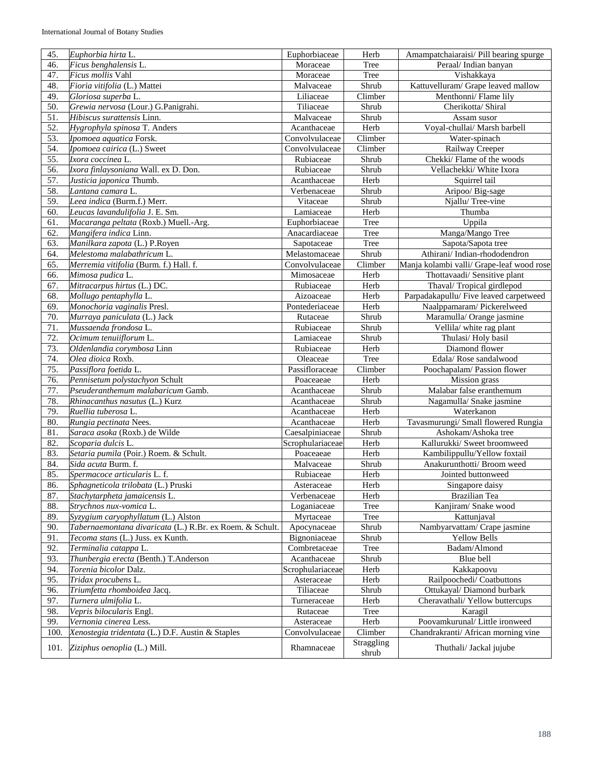| 45.  | Euphorbia hirta L.                                       | Euphorbiaceae    | Herb                | Amampatchaiaraisi/ Pill bearing spurge    |
|------|----------------------------------------------------------|------------------|---------------------|-------------------------------------------|
| 46.  | Ficus benghalensis L.                                    | Moraceae         | Tree                | Peraal/Indian banyan                      |
| 47.  | Ficus mollis Vahl                                        | Moraceae         | Tree                | Vishakkaya                                |
| 48.  | Fioria vitifolia (L.) Mattei                             | Malvaceae        | Shrub               | Kattuvelluram/ Grape leaved mallow        |
| 49.  | Gloriosa superba L.                                      | Liliaceae        | Climber             | Menthonni/Flame lily                      |
| 50.  | Grewia nervosa (Lour.) G.Panigrahi.                      | Tiliaceae        | Shrub               | Cherikotta/ Shiral                        |
| 51.  | Hibiscus surattensis Linn.                               | Malvaceae        | Shrub               | Assam susor                               |
| 52.  | Hygrophyla spinosa T. Anders                             | Acanthaceae      | Herb                | Voyal-chullai/ Marsh barbell              |
| 53.  | Ipomoea aquatica Forsk.                                  | Convolvulaceae   | Climber             | Water-spinach                             |
| 54.  | Ipomoea cairica (L.) Sweet                               | Convolvulaceae   | Climber             | Railway Creeper                           |
| 55.  | Ixora coccinea L.                                        | Rubiaceae        | Shrub               | Chekki/Flame of the woods                 |
| 56.  | Ixora finlaysoniana Wall. ex D. Don.                     | Rubiaceae        | Shrub               | Vellachekki/ White Ixora                  |
| 57.  | Justicia japonica Thumb.                                 | Acanthaceae      | Herb                | Squirrel tail                             |
| 58.  | Lantana camara L.                                        | Verbenaceae      | Shrub               | Aripoo/ Big-sage                          |
| 59.  | Leea indica (Burm.f.) Merr.                              | Vitaceae         | Shrub               | Njallu/Tree-vine                          |
| 60.  | Leucas lavandulifolia J. E. Sm.                          | Lamiaceae        | Herb                | Thumba                                    |
| 61.  | Macaranga peltata (Roxb.) Muell.-Arg.                    | Euphorbiaceae    | Tree                | Uppila                                    |
| 62.  | Mangifera indica Linn.                                   | Anacardiaceae    | Tree                | Manga/Mango Tree                          |
| 63.  | Manilkara zapota (L.) P.Royen                            | Sapotaceae       | Tree                | Sapota/Sapota tree                        |
| 64.  | Melestoma malabathricum L.                               | Melastomaceae    | Shrub               | Athirani/Indian-rhododendron              |
| 65.  | Merremia vitifolia (Burm. f.) Hall. f.                   | Convolvulaceae   | Climber             | Manja kolambi valli/ Grape-leaf wood rose |
| 66.  | Mimosa pudica L.                                         | Mimosaceae       | Herb                | Thottavaadi/ Sensitive plant              |
| 67.  | Mitracarpus hirtus (L.) DC.                              | Rubiaceae        | Herb                | Thaval/Tropical girdlepod                 |
| 68.  | Mollugo pentaphylla L.                                   | Aizoaceae        | Herb                | Parpadakapullu/Five leaved carpetweed     |
| 69.  | Monochoria vaginalis Presl.                              | Pontederiaceae   | Herb                | Naalppamaram/Pickerelweed                 |
| 70.  | Murraya paniculata (L.) Jack                             | Rutaceae         | Shrub               | Maramulla/ Orange jasmine                 |
| 71.  | Mussaenda frondosa L.                                    | Rubiaceae        | Shrub               | Vellila/ white rag plant                  |
| 72.  | Ocimum tenuiiflorum L.                                   | Lamiaceae        | Shrub               | Thulasi/Holy basil                        |
| 73.  | Oldenlandia corymbosa Linn                               | Rubiaceae        | Herb                | Diamond flower                            |
| 74.  | Olea dioica Roxb.                                        | Oleaceae         | Tree                | Edala/Rose sandalwood                     |
| 75.  | Passiflora foetida L.                                    | Passifloraceae   | Climber             | Poochapalam/ Passion flower               |
| 76.  | Pennisetum polystachyon Schult                           | Poaceaeae        | Herb                | Mission grass                             |
| 77.  | Pseuderanthemum malabaricum Gamb.                        | Acanthaceae      | Shrub               | Malabar false eranthemum                  |
| 78.  | Rhinacanthus nasutus (L.) Kurz                           | Acanthaceae      | Shrub               | Nagamulla/ Snake jasmine                  |
| 79.  | Ruellia tuberosa L.                                      | Acanthaceae      | Herb                | Waterkanon                                |
| 80.  | Rungia pectinata Nees.                                   | Acanthaceae      | Herb                | Tavasmurungi/ Small flowered Rungia       |
|      | Saraca asoka (Roxb.) de Wilde                            | Caesalpiniaceae  |                     |                                           |
| 81.  |                                                          |                  | Shrub               | Ashokam/Ashoka tree                       |
| 82.  | Scoparia dulcis L.                                       | Scrophulariaceae | Herb                | Kallurukki/ Sweet broomweed               |
| 83.  | Setaria pumila (Poir.) Roem. & Schult.                   | Poaceaeae        | Herb                | Kambilippullu/Yellow foxtail              |
| 84.  | Sida acuta Burm. f.                                      | Malvaceae        | Shrub               | Anakurunthotti/ Broom weed                |
| 85.  | Spermacoce articularis L. f.                             | Rubiaceae        | Herb                | Jointed buttonweed                        |
| 86.  | Sphagneticola trilobata (L.) Pruski                      | Asteraceae       | Herb                | Singapore daisy                           |
| 87.  | Stachytarpheta jamaicensis L.                            | Verbenaceae      | Herb                | Brazilian Tea                             |
| 88.  | Strychnos nux-vomica L.                                  | Loganiaceae      | Tree                | Kanjiram/ Snake wood                      |
| 89.  | Syzygium caryophyllatum (L.) Alston                      | Myrtaceae        | Tree                | Kattunjaval                               |
| 90.  | Tabernaemontana divaricata (L.) R.Br. ex Roem. & Schult. | Apocynaceae      | Shrub               | Nambyarvattam/ Crape jasmine              |
| 91.  | Tecoma stans (L.) Juss. ex Kunth.                        | Bignoniaceae     | Shrub               | <b>Yellow Bells</b>                       |
| 92.  | Terminalia catappa L.                                    | Combretaceae     | Tree                | Badam/Almond                              |
| 93.  | Thunbergia erecta (Benth.) T.Anderson                    | Acanthaceae      | Shrub               | Blue bell                                 |
| 94.  | Torenia bicolor Dalz.                                    | Scrophulariaceae | Herb                | Kakkapoovu                                |
| 95.  | Tridax procubens L.                                      | Asteraceae       | Herb                | Railpoochedi/ Coatbuttons                 |
| 96.  | Triumfetta rhomboidea Jacq.                              | Tiliaceae        | Shrub               | Ottukayal/ Diamond burbark                |
| 97.  | Turnera ulmifolia L.                                     | Turneraceae      | Herb                | Cheravathali/ Yellow buttercups           |
| 98.  | Vepris bilocularis Engl.                                 | Rutaceae         | Tree                | Karagil                                   |
| 99.  | Vernonia cinerea Less.                                   | Asteraceae       | Herb                | Poovamkurunal/ Little ironweed            |
| 100. |                                                          |                  |                     |                                           |
|      | Xenostegia tridentata (L.) D.F. Austin & Staples         | Convolvulaceae   | Climber             | Chandrakranti/ African morning vine       |
| 101. | Ziziphus oenoplia (L.) Mill.                             | Rhamnaceae       | Straggling<br>shrub | Thuthali/ Jackal jujube                   |